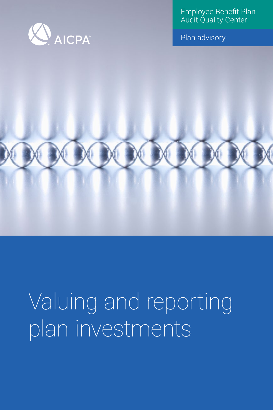

Employee Benefit Plan Audit Quality Center

Plan advisory

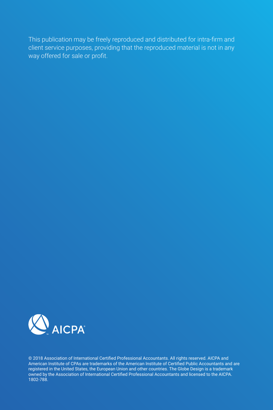This publication may be freely reproduced and distributed for intra-firm and client service purposes, providing that the reproduced material is not in any way offered for sale or profit.



© 2018 Association of International Certified Professional Accountants. All rights reserved. AICPA and American Institute of CPAs are trademarks of the American Institute of Certified Public Accountants and are registered in the United States, the European Union and other countries. The Globe Design is a trademark owned by the Association of International Certified Professional Accountants and licensed to the AICPA. 1802-788.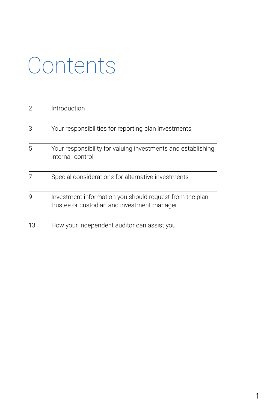# Contents

|    | Introduction                                                                                           |
|----|--------------------------------------------------------------------------------------------------------|
| 3  | Your responsibilities for reporting plan investments                                                   |
| 5  | Your responsibility for valuing investments and establishing<br>internal control                       |
|    | Special considerations for alternative investments                                                     |
| g  | Investment information you should request from the plan<br>trustee or custodian and investment manager |
| 13 | How your independent auditor can assist you                                                            |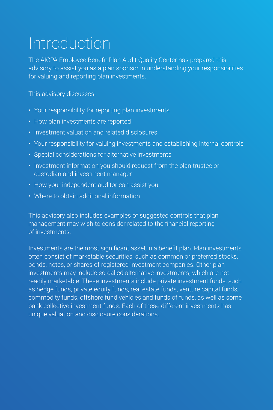## Introduction

The AICPA Employee Benefit Plan Audit Quality Center has prepared this advisory to assist you as a plan sponsor in understanding your responsibilities for valuing and reporting plan investments.

This advisory discusses:

- Your responsibility for reporting plan investments
- How plan investments are reported
- Investment valuation and related disclosures
- Your responsibility for valuing investments and establishing internal controls
- Special considerations for alternative investments
- Investment information you should request from the plan trustee or custodian and investment manager
- How your independent auditor can assist you
- Where to obtain additional information

This advisory also includes examples of suggested controls that plan management may wish to consider related to the financial reporting of investments.

Investments are the most significant asset in a benefit plan. Plan investments often consist of marketable securities, such as common or preferred stocks, bonds, notes, or shares of registered investment companies. Other plan investments may include so-called alternative investments, which are not readily marketable. These investments include private investment funds, such as hedge funds, private equity funds, real estate funds, venture capital funds, commodity funds, offshore fund vehicles and funds of funds, as well as some bank collective investment funds. Each of these different investments has unique valuation and disclosure considerations.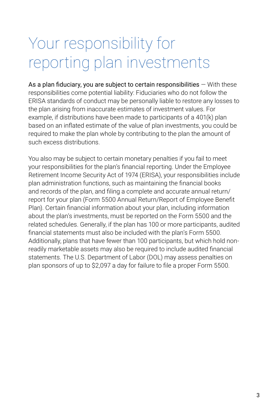## Your responsibility for reporting plan investments

As a plan fiduciary, you are subject to certain responsibilities  $-$  With these responsibilities come potential liability: Fiduciaries who do not follow the ERISA standards of conduct may be personally liable to restore any losses to the plan arising from inaccurate estimates of investment values. For example, if distributions have been made to participants of a 401(k) plan based on an inflated estimate of the value of plan investments, you could be required to make the plan whole by contributing to the plan the amount of such excess distributions.

You also may be subject to certain monetary penalties if you fail to meet your responsibilities for the plan's financial reporting. Under the Employee Retirement Income Security Act of 1974 (ERISA), your responsibilities include plan administration functions, such as maintaining the financial books and records of the plan, and filing a complete and accurate annual return/ report for your plan (Form 5500 Annual Return/Report of Employee Benefit Plan). Certain financial information about your plan, including information about the plan's investments, must be reported on the Form 5500 and the related schedules. Generally, if the plan has 100 or more participants, audited financial statements must also be included with the plan's Form 5500. Additionally, plans that have fewer than 100 participants, but which hold nonreadily marketable assets may also be required to include audited financial statements. The U.S. Department of Labor (DOL) may assess penalties on plan sponsors of up to \$2,097 a day for failure to file a proper Form 5500.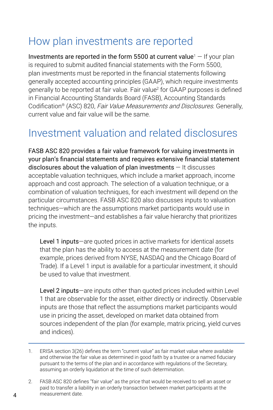#### How plan investments are reported

Investments are reported in the form 5500 at current value<sup>1</sup>  $-$  If your plan is required to submit audited financial statements with the Form 5500, plan investments must be reported in the financial statements following generally accepted accounting principles (GAAP), which require investments generally to be reported at fair value. Fair value<sup>2</sup> for GAAP purposes is defined in Financial Accounting Standards Board (FASB), Accounting Standards Codification® (ASC) 820, Fair Value Measurements and Disclosures. Generally, current value and fair value will be the same.

#### Investment valuation and related disclosures

FASB ASC 820 provides a fair value framework for valuing investments in your plan's financial statements and requires extensive financial statement disclosures about the valuation of plan investments  $-$  It discusses acceptable valuation techniques, which include a market approach, income approach and cost approach. The selection of a valuation technique, or a combination of valuation techniques, for each investment will depend on the particular circumstances. FASB ASC 820 also discusses inputs to valuation techniques—which are the assumptions market participants would use in pricing the investment—and establishes a fair value hierarchy that prioritizes the inputs.

Level 1 inputs—are quoted prices in active markets for identical assets that the plan has the ability to access at the measurement date (for example, prices derived from NYSE, NASDAQ and the Chicago Board of Trade). If a Level 1 input is available for a particular investment, it should be used to value that investment.

Level 2 inputs—are inputs other than quoted prices included within Level 1 that are observable for the asset, either directly or indirectly. Observable inputs are those that reflect the assumptions market participants would use in pricing the asset, developed on market data obtained from sources independent of the plan (for example, matrix pricing, yield curves and indices).

2. FASB ASC 820 defines "fair value" as the price that would be received to sell an asset or paid to transfer a liability in an orderly transaction between market participants at the measurement date.

<sup>1.</sup> ERISA section 3(26) defines the term "current value" as fair market value where available and otherwise the fair value as determined in good faith by a trustee or a named fiduciary pursuant to the terms of the plan and in accordance with regulations of the Secretary, assuming an orderly liquidation at the time of such determination.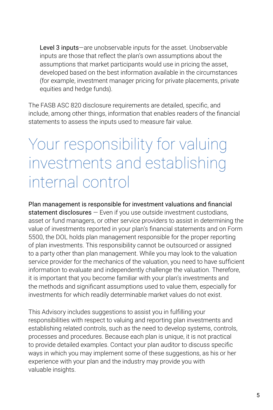Level 3 inputs—are unobservable inputs for the asset. Unobservable inputs are those that reflect the plan's own assumptions about the assumptions that market participants would use in pricing the asset, developed based on the best information available in the circumstances (for example, investment manager pricing for private placements, private equities and hedge funds).

The FASB ASC 820 disclosure requirements are detailed, specific, and include, among other things, information that enables readers of the financial statements to assess the inputs used to measure fair value.

### Your responsibility for valuing investments and establishing internal control

Plan management is responsible for investment valuations and financial statement disclosures – Even if you use outside investment custodians, asset or fund managers, or other service providers to assist in determining the value of investments reported in your plan's financial statements and on Form 5500, the DOL holds plan management responsible for the proper reporting of plan investments. This responsibility cannot be outsourced or assigned to a party other than plan management. While you may look to the valuation service provider for the mechanics of the valuation, you need to have sufficient information to evaluate and independently challenge the valuation. Therefore, it is important that you become familiar with your plan's investments and the methods and significant assumptions used to value them, especially for investments for which readily determinable market values do not exist.

This Advisory includes suggestions to assist you in fulfilling your responsibilities with respect to valuing and reporting plan investments and establishing related controls, such as the need to develop systems, controls, processes and procedures. Because each plan is unique, it is not practical to provide detailed examples. Contact your plan auditor to discuss specific ways in which you may implement some of these suggestions, as his or her experience with your plan and the industry may provide you with valuable insights.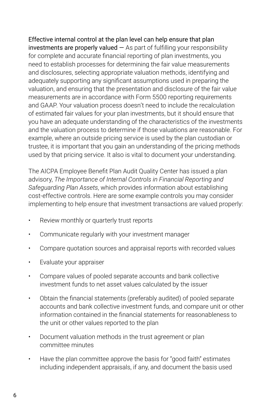Effective internal control at the plan level can help ensure that plan  $investments$  are properly valued  $-$  As part of fulfilling your responsibility for complete and accurate financial reporting of plan investments, you need to establish processes for determining the fair value measurements and disclosures, selecting appropriate valuation methods, identifying and adequately supporting any significant assumptions used in preparing the valuation, and ensuring that the presentation and disclosure of the fair value measurements are in accordance with Form 5500 reporting requirements and GAAP. Your valuation process doesn't need to include the recalculation of estimated fair values for your plan investments, but it should ensure that you have an adequate understanding of the characteristics of the investments and the valuation process to determine if those valuations are reasonable. For example, where an outside pricing service is used by the plan custodian or trustee, it is important that you gain an understanding of the pricing methods used by that pricing service. It also is vital to document your understanding.

The AICPA Employee Benefit Plan Audit Quality Center has issued a plan advisory, *The Importance of Internal Controls in Financial Reporting and Safeguarding Plan Assets*, which provides information about establishing cost-effective controls. Here are some example controls you may consider implementing to help ensure that investment transactions are valued properly:

- Review monthly or quarterly trust reports
- Communicate regularly with your investment manager
- Compare quotation sources and appraisal reports with recorded values
- Evaluate your appraiser
- Compare values of pooled separate accounts and bank collective investment funds to net asset values calculated by the issuer
- Obtain the financial statements (preferably audited) of pooled separate accounts and bank collective investment funds, and compare unit or other information contained in the financial statements for reasonableness to the unit or other values reported to the plan
- Document valuation methods in the trust agreement or plan committee minutes
- Have the plan committee approve the basis for "good faith" estimates including independent appraisals, if any, and document the basis used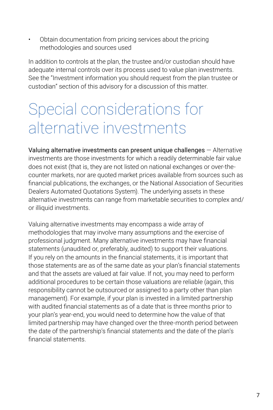• Obtain documentation from pricing services about the pricing methodologies and sources used

In addition to controls at the plan, the trustee and/or custodian should have adequate internal controls over its process used to value plan investments. See the "Investment information you should request from the plan trustee or custodian" section of this advisory for a discussion of this matter.

### Special considerations for alternative investments

Valuing alternative investments can present unique challenges — Alternative investments are those investments for which a readily determinable fair value does not exist (that is, they are not listed on national exchanges or over-thecounter markets, nor are quoted market prices available from sources such as financial publications, the exchanges, or the National Association of Securities Dealers Automated Quotations System). The underlying assets in these alternative investments can range from marketable securities to complex and/ or illiquid investments.

Valuing alternative investments may encompass a wide array of methodologies that may involve many assumptions and the exercise of professional judgment. Many alternative investments may have financial statements (unaudited or, preferably, audited) to support their valuations. If you rely on the amounts in the financial statements, it is important that those statements are as of the same date as your plan's financial statements and that the assets are valued at fair value. If not, you may need to perform additional procedures to be certain those valuations are reliable (again, this responsibility cannot be outsourced or assigned to a party other than plan management). For example, if your plan is invested in a limited partnership with audited financial statements as of a date that is three months prior to your plan's year-end, you would need to determine how the value of that limited partnership may have changed over the three-month period between the date of the partnership's financial statements and the date of the plan's financial statements.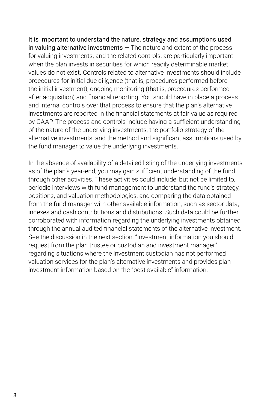It is important to understand the nature, strategy and assumptions used in valuing alternative investments  $-$  The nature and extent of the process for valuing investments, and the related controls, are particularly important when the plan invests in securities for which readily determinable market values do not exist. Controls related to alternative investments should include procedures for initial due diligence (that is, procedures performed before the initial investment), ongoing monitoring (that is, procedures performed after acquisition) and financial reporting. You should have in place a process and internal controls over that process to ensure that the plan's alternative investments are reported in the financial statements at fair value as required by GAAP. The process and controls include having a sufficient understanding of the nature of the underlying investments, the portfolio strategy of the alternative investments, and the method and significant assumptions used by the fund manager to value the underlying investments.

In the absence of availability of a detailed listing of the underlying investments as of the plan's year-end, you may gain sufficient understanding of the fund through other activities. These activities could include, but not be limited to, periodic interviews with fund management to understand the fund's strategy, positions, and valuation methodologies, and comparing the data obtained from the fund manager with other available information, such as sector data, indexes and cash contributions and distributions. Such data could be further corroborated with information regarding the underlying investments obtained through the annual audited financial statements of the alternative investment. See the discussion in the next section, "Investment information you should request from the plan trustee or custodian and investment manager" regarding situations where the investment custodian has not performed valuation services for the plan's alternative investments and provides plan investment information based on the "best available" information.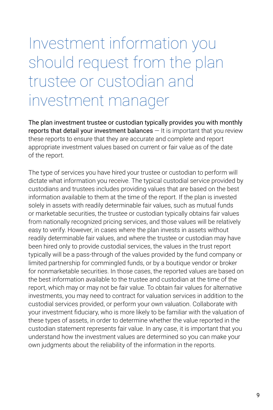## Investment information you should request from the plan trustee or custodian and investment manager

The plan investment trustee or custodian typically provides you with monthly reports that detail your investment balances  $-$  It is important that you review these reports to ensure that they are accurate and complete and report appropriate investment values based on current or fair value as of the date of the report.

The type of services you have hired your trustee or custodian to perform will dictate what information you receive. The typical custodial service provided by custodians and trustees includes providing values that are based on the best information available to them at the time of the report. If the plan is invested solely in assets with readily determinable fair values, such as mutual funds or marketable securities, the trustee or custodian typically obtains fair values from nationally recognized pricing services, and those values will be relatively easy to verify. However, in cases where the plan invests in assets without readily determinable fair values, and where the trustee or custodian may have been hired only to provide custodial services, the values in the trust report typically will be a pass-through of the values provided by the fund company or limited partnership for commingled funds, or by a boutique vendor or broker for nonmarketable securities. In those cases, the reported values are based on the best information available to the trustee and custodian at the time of the report, which may or may not be fair value. To obtain fair values for alternative investments, you may need to contract for valuation services in addition to the custodial services provided, or perform your own valuation. Collaborate with your investment fiduciary, who is more likely to be familiar with the valuation of these types of assets, in order to determine whether the value reported in the custodian statement represents fair value. In any case, it is important that you understand how the investment values are determined so you can make your own judgments about the reliability of the information in the reports.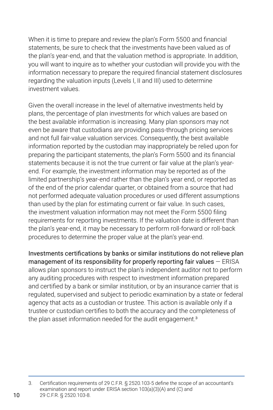When it is time to prepare and review the plan's Form 5500 and financial statements, be sure to check that the investments have been valued as of the plan's year-end, and that the valuation method is appropriate. In addition, you will want to inquire as to whether your custodian will provide you with the information necessary to prepare the required financial statement disclosures regarding the valuation inputs (Levels I, II and III) used to determine investment values.

Given the overall increase in the level of alternative investments held by plans, the percentage of plan investments for which values are based on the best available information is increasing. Many plan sponsors may not even be aware that custodians are providing pass-through pricing services and not full fair-value valuation services. Consequently, the best available information reported by the custodian may inappropriately be relied upon for preparing the participant statements, the plan's Form 5500 and its financial statements because it is not the true current or fair value at the plan's yearend. For example, the investment information may be reported as of the limited partnership's year-end rather than the plan's year end, or reported as of the end of the prior calendar quarter, or obtained from a source that had not performed adequate valuation procedures or used different assumptions than used by the plan for estimating current or fair value. In such cases, the investment valuation information may not meet the Form 5500 filing requirements for reporting investments. If the valuation date is different than the plan's year-end, it may be necessary to perform roll-forward or roll-back procedures to determine the proper value at the plan's year-end.

Investments certifications by banks or similar institutions do not relieve plan management of its responsibility for properly reporting fair values  $-$  ERISA allows plan sponsors to instruct the plan's independent auditor not to perform any auditing procedures with respect to investment information prepared and certified by a bank or similar institution, or by an insurance carrier that is regulated, supervised and subject to periodic examination by a state or federal agency that acts as a custodian or trustee. This action is available only if a trustee or custodian certifies to both the accuracy and the completeness of the plan asset information needed for the audit engagement.<sup>3</sup>

3. Certification requirements of 29 C.F.R. § 2520.103-5 define the scope of an accountant's examination and report under ERISA section 103(a)(3)(A) and (C) and 29 C.F.R. § 2520.103-8.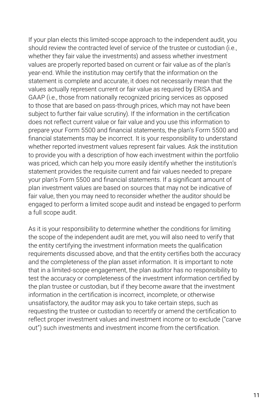If your plan elects this limited-scope approach to the independent audit, you should review the contracted level of service of the trustee or custodian (i.e., whether they fair value the investments) and assess whether investment values are properly reported based on current or fair value as of the plan's year-end. While the institution may certify that the information on the statement is complete and accurate, it does not necessarily mean that the values actually represent current or fair value as required by ERISA and GAAP (i.e., those from nationally recognized pricing services as opposed to those that are based on pass-through prices, which may not have been subject to further fair value scrutiny). If the information in the certification does not reflect current value or fair value and you use this information to prepare your Form 5500 and financial statements, the plan's Form 5500 and financial statements may be incorrect. It is your responsibility to understand whether reported investment values represent fair values. Ask the institution to provide you with a description of how each investment within the portfolio was priced, which can help you more easily identify whether the institution's statement provides the requisite current and fair values needed to prepare your plan's Form 5500 and financial statements. If a significant amount of plan investment values are based on sources that may not be indicative of fair value, then you may need to reconsider whether the auditor should be engaged to perform a limited scope audit and instead be engaged to perform a full scope audit.

As it is your responsibility to determine whether the conditions for limiting the scope of the independent audit are met, you will also need to verify that the entity certifying the investment information meets the qualification requirements discussed above, and that the entity certifies both the accuracy and the completeness of the plan asset information. It is important to note that in a limited-scope engagement, the plan auditor has no responsibility to test the accuracy or completeness of the investment information certified by the plan trustee or custodian, but if they become aware that the investment information in the certification is incorrect, incomplete, or otherwise unsatisfactory, the auditor may ask you to take certain steps, such as requesting the trustee or custodian to recertify or amend the certification to reflect proper investment values and investment income or to exclude ("carve out") such investments and investment income from the certification.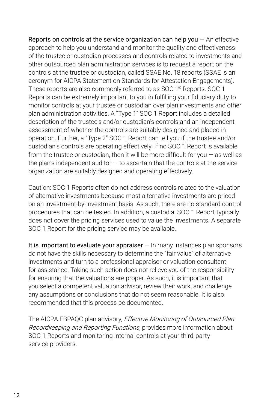Reports on controls at the service organization can help you  $-$  An effective approach to help you understand and monitor the quality and effectiveness of the trustee or custodian processes and controls related to investments and other outsourced plan administration services is to request a report on the controls at the trustee or custodian, called SSAE No. 18 reports (SSAE is an acronym for AICPA Statement on Standards for Attestation Engagements). These reports are also commonly referred to as SOC 1® Reports. SOC 1 Reports can be extremely important to you in fulfilling your fiduciary duty to monitor controls at your trustee or custodian over plan investments and other plan administration activities. A "Type 1" SOC 1 Report includes a detailed description of the trustee's and/or custodian's controls and an independent assessment of whether the controls are suitably designed and placed in operation. Further, a "Type 2" SOC 1 Report can tell you if the trustee and/or custodian's controls are operating effectively. If no SOC 1 Report is available from the trustee or custodian, then it will be more difficult for you  $-$  as well as the plan's independent auditor  $-$  to ascertain that the controls at the service organization are suitably designed and operating effectively.

Caution: SOC 1 Reports often do not address controls related to the valuation of alternative investments because most alternative investments are priced on an investment-by-investment basis. As such, there are no standard control procedures that can be tested. In addition, a custodial SOC 1 Report typically does not cover the pricing services used to value the investments. A separate SOC 1 Report for the pricing service may be available.

It is important to evaluate your appraiser  $-$  In many instances plan sponsors do not have the skills necessary to determine the "fair value" of alternative investments and turn to a professional appraiser or valuation consultant for assistance. Taking such action does not relieve you of the responsibility for ensuring that the valuations are proper. As such, it is important that you select a competent valuation advisor, review their work, and challenge any assumptions or conclusions that do not seem reasonable. It is also recommended that this process be documented.

The AICPA EBPAQC plan advisory, *Effective Monitoring of Outsourced Plan* Recordkeeping and Reporting Functions, provides more information about SOC 1 Reports and monitoring internal controls at your third-party service providers.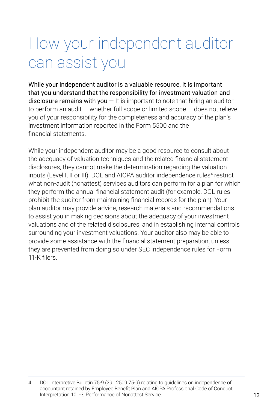## How your independent auditor can assist you

While your independent auditor is a valuable resource, it is important that you understand that the responsibility for investment valuation and disclosure remains with you  $-1$  t is important to note that hiring an auditor to perform an audit — whether full scope or limited scope — does not relieve you of your responsibility for the completeness and accuracy of the plan's investment information reported in the Form 5500 and the financial statements.

While your independent auditor may be a good resource to consult about the adequacy of valuation techniques and the related financial statement disclosures, they cannot make the determination regarding the valuation inputs (Level I, II or III). DOL and AICPA auditor independence rules<sup>4</sup> restrict what non-audit (nonattest) services auditors can perform for a plan for which they perform the annual financial statement audit (for example, DOL rules prohibit the auditor from maintaining financial records for the plan). Your plan auditor may provide advice, research materials and recommendations to assist you in making decisions about the adequacy of your investment valuations and of the related disclosures, and in establishing internal controls surrounding your investment valuations. Your auditor also may be able to provide some assistance with the financial statement preparation, unless they are prevented from doing so under SEC independence rules for Form 11-K filers.

<sup>4.</sup> DOL Interpretive Bulletin 75-9 (29 . 2509.75-9) relating to guidelines on independence of accountant retained by Employee Benefit Plan and AICPA Professional Code of Conduct Interpretation 101-3, Performance of Nonattest Service.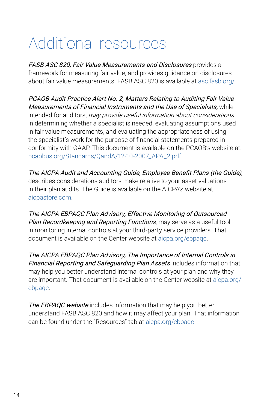## Additional resources

FASB ASC 820, Fair Value Measurements and Disclosures provides a framework for measuring fair value, and provides guidance on disclosures about fair value measurements. FASB ASC 820 is available at [asc.fasb.org/](http://asc.fasb.org/).

PCAOB Audit Practice Alert No. 2, Matters Relating to Auditing Fair Value Measurements of Financial Instruments and the Use of Specialists, while intended for auditors, may provide useful information about considerations in determining whether a specialist is needed, evaluating assumptions used in fair value measurements, and evaluating the appropriateness of using the specialist's work for the purpose of financial statements prepared in conformity with GAAP. This document is available on the PCAOB's website at: [pcaobus.org/Standards/QandA/12-10-2007\\_APA\\_2.pdf](https://pcaobus.org/Standards/QandA/12-10-2007_APA_2.pdf)

The AICPA Audit and Accounting Guide, Employee Benefit Plans (the Guide), describes considerations auditors make relative to your asset valuations in their plan audits. The Guide is available on the AICPA's website at [aicpastore.com.](http://aicpastore.com)

The AICPA EBPAQC Plan Advisory, Effective Monitoring of Outsourced Plan Recordkeeping and Reporting Functions, may serve as a useful tool in monitoring internal controls at your third-party service providers. That document is available on the Center website at [aicpa.org/ebpaqc.](http://aicpa.org/ebpaqc)

The AICPA EBPAQC Plan Advisory, The Importance of Internal Controls in Financial Reporting and Safequarding Plan Assets includes information that may help you better understand internal controls at your plan and why they are important. That document is available on the Center website at [aicpa.org/](http://aicpa.org/ebpaqc) [ebpaqc](http://aicpa.org/ebpaqc).

The EBPAQC website includes information that may help you better understand FASB ASC 820 and how it may affect your plan. That information can be found under the "Resources" tab at [aicpa.org/ebpaqc](http://aicpa.org/ebpaqc).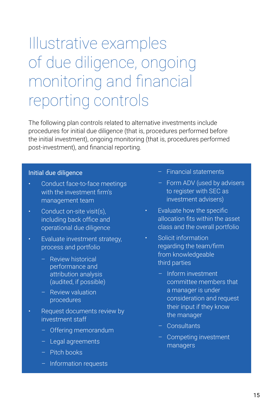## Illustrative examples of due diligence, ongoing monitoring and financial reporting controls

The following plan controls related to alternative investments include procedures for initial due diligence (that is, procedures performed before the initial investment), ongoing monitoring (that is, procedures performed post-investment), and financial reporting.

#### Initial due diligence

- Conduct face-to-face meetings with the investment firm's management team
- Conduct on-site visit(s), including back office and operational due diligence
- Evaluate investment strategy, process and portfolio
	- Review historical performance and attribution analysis (audited, if possible)
	- Review valuation procedures
- Request documents review by investment staff
	- Offering memorandum
	- Legal agreements
	- Pitch books
	- Information requests
- Financial statements
- Form ADV (used by advisers to register with SEC as investment advisers)
- Evaluate how the specific allocation fits within the asset class and the overall portfolio
- Solicit information regarding the team/firm from knowledgeable third parties
	- Inform investment committee members that a manager is under consideration and request their input if they know the manager
	- Consultants
	- Competing investment managers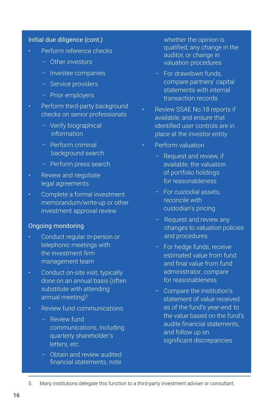#### Initial due diligence (cont.)

- Perform reference checks
	- Other investors
	- Investee companies
	- Service providers
	- Prior employers
- Perform third-party background checks on senior professionals
	- Verify biographical information
	- Perform criminal background search
	- Perform press search
- Review and negotiate legal agreements
- Complete a formal investment memorandum/write-up or other investment approval review

#### Ongoing monitoring

- Conduct regular in-person or telephonic meetings with the investment firm management team
- Conduct on-site visit, typically done on an annual basis (often substitute with attending annual meeting)<sup>5</sup>
- Review fund communications
	- Review fund communications, including quarterly shareholder's letters, etc.
	- Obtain and review audited financial statements, note

whether the opinion is qualified, any change in the auditor, or change in valuation procedures

- For drawdown funds, compare partners' capital statements with internal transaction records
- Review SSAE No.18 reports if available, and ensure that identified user controls are in place at the investor entity
- Perform valuation
	- Request and review, if available, the valuation of portfolio holdings for reasonableness
	- For custodial assets, reconcile with custodian's pricing
	- Request and review any changes to valuation policies and procedures
	- For hedge funds, receive estimated value from fund and final value from fund administrator; compare for reasonableness
	- Compare the institution's statement of value received as of the fund's year-end to the value based on the fund's audite financial statements, and follow up on significant discrepancies
- 5. Many institutions delegate this function to a third-party investment adviser or consultant.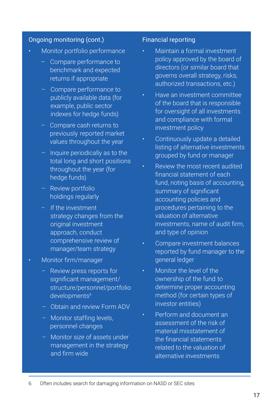#### Ongoing monitoring (cont.)

- Monitor portfolio performance
	- Compare performance to benchmark and expected returns if appropriate
	- Compare performance to publicly available data (for example, public sector indexes for hedge funds)
	- Compare cash returns to previously reported market values throughout the year
	- Inquire periodically as to the total long and short positions throughout the year (for hedge funds)
	- Review portfolio holdings regularly
	- If the investment strategy changes from the original investment approach, conduct comprehensive review of manager/team strategy
- Monitor firm/manager
	- Review press reports for significant management/ structure/personnel/portfolio developments<sup>6</sup>
	- Obtain and review Form ADV
	- Monitor staffing levels, personnel changes
	- Monitor size of assets under management in the strategy and firm wide

#### Financial reporting

- Maintain a formal investment policy approved by the board of directors (or similar board that governs overall strategy, risks, authorized transactions, etc.)
- Have an investment committee of the board that is responsible for oversight of all investments and compliance with formal investment policy
- Continuously update a detailed listing of alternative investments grouped by fund or manager
- Review the most recent audited financial statement of each fund, noting basis of accounting. summary of significant accounting policies and procedures pertaining to the valuation of alternative investments, name of audit firm, and type of opinion
- Compare investment balances reported by fund manager to the general ledger
- Monitor the level of the ownership of the fund to determine proper accounting method (for certain types of investor entities)
- Perform and document an assessment of the risk of material misstatement of the financial statements related to the valuation of alternative investments